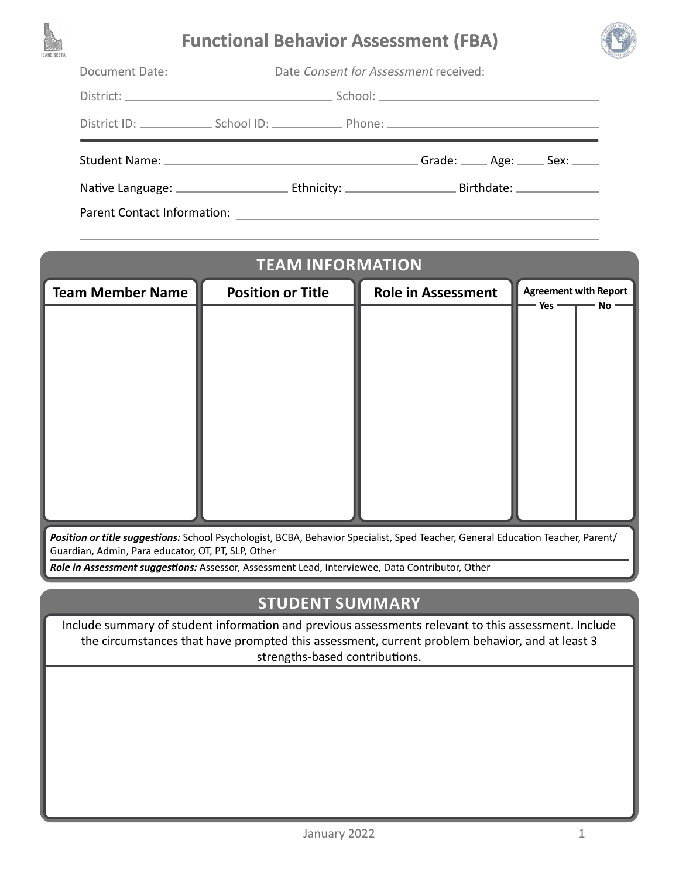

# **Functional Behavior Assessment (FBA)**



Document Date: \_\_\_\_\_\_\_\_\_\_\_\_\_\_\_\_\_\_ Date Consent for Assessment received: \_\_\_\_\_\_\_\_

| District: | School: |
|-----------|---------|
|           |         |

District ID: School ID: School ID: Phone: 2000 Phone: 2000 Phone: 2000 Phone: 2000 Phone: 2000 Phone: 2000 Phone: 2000 Phone: 2000 Phone: 2000 Phone: 2000 Phone: 2000 Phone: 2000 Phone: 2000 Phone: 2000 Phone: 2000 Phone:

Student Name: Grade: Age: Sex:

Native Language: Ethnicity: Birthdate:

Parent Contact Information:

| <b>TEAM INFORMATION</b>                                                                                                         |                          |                           |                                           |  |
|---------------------------------------------------------------------------------------------------------------------------------|--------------------------|---------------------------|-------------------------------------------|--|
| <b>Team Member Name</b>                                                                                                         | <b>Position or Title</b> | <b>Role in Assessment</b> | <b>Agreement with Report</b><br>No<br>Yes |  |
|                                                                                                                                 |                          |                           |                                           |  |
|                                                                                                                                 |                          |                           |                                           |  |
|                                                                                                                                 |                          |                           |                                           |  |
|                                                                                                                                 |                          |                           |                                           |  |
|                                                                                                                                 |                          |                           |                                           |  |
|                                                                                                                                 |                          |                           |                                           |  |
|                                                                                                                                 |                          |                           |                                           |  |
|                                                                                                                                 |                          |                           |                                           |  |
| Position or title suggestions: School Psychologist, BCBA, Behavior Specialist, Sped Teacher, General Education Teacher, Parent/ |                          |                           |                                           |  |

Guardian, Admin, Para educator, OT, PT, SLP, Other

*Role in Assessment suggestions:* Assessor, Assessment Lead, Interviewee, Data Contributor, Other

# **STUDENT SUMMARY**

Include summary of student information and previous assessments relevant to this assessment. Include the circumstances that have prompted this assessment, current problem behavior, and at least 3 strengths-based contributions.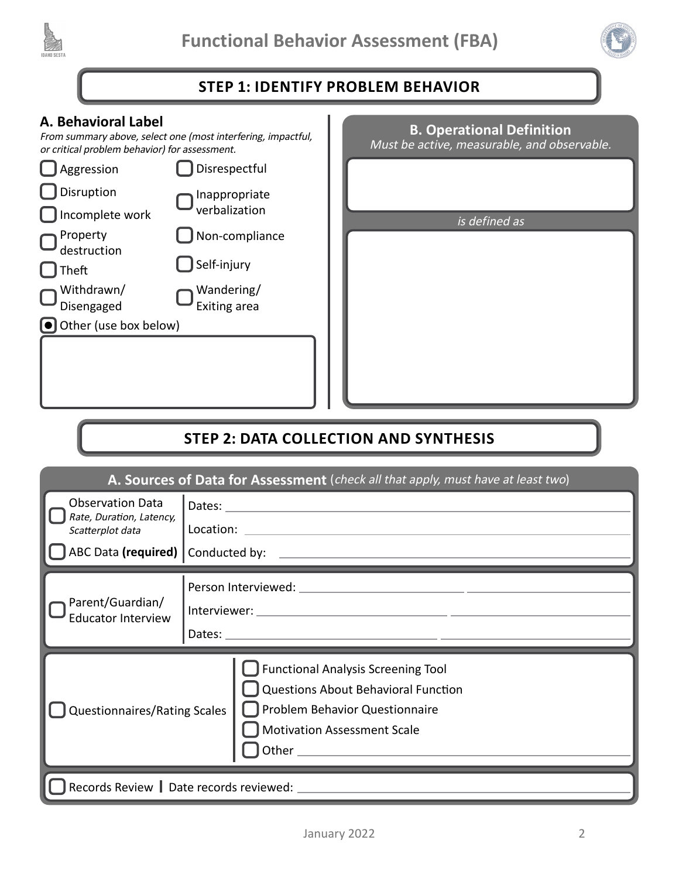



## **STEP 1: IDENTIFY PROBLEM BEHAVIOR**

### **A. Behavioral Label**

From summary above, select one (most interfering, impactful, or critical problem behavior) for assessment.



| <b>B. Operational Definition</b><br>Must be active, measurable, and observable. |  |  |  |
|---------------------------------------------------------------------------------|--|--|--|
|                                                                                 |  |  |  |
| is defined as                                                                   |  |  |  |
|                                                                                 |  |  |  |
|                                                                                 |  |  |  |
|                                                                                 |  |  |  |
|                                                                                 |  |  |  |
|                                                                                 |  |  |  |
|                                                                                 |  |  |  |
|                                                                                 |  |  |  |
|                                                                                 |  |  |  |

## **STEP 2: DATA COLLECTION AND SYNTHESIS**

| A. Sources of Data for Assessment (check all that apply, must have at least two) |                                                                                                                                                          |  |  |  |
|----------------------------------------------------------------------------------|----------------------------------------------------------------------------------------------------------------------------------------------------------|--|--|--|
| <b>Observation Data</b><br>Rate, Duration, Latency,<br>Scatterplot data          | Location: Location: Location: Location: Location: Location: Location: Location: Location: Location: Location:                                            |  |  |  |
| Parent/Guardian/<br><b>Educator Interview</b>                                    |                                                                                                                                                          |  |  |  |
| <b>Questionnaires/Rating Scales</b>                                              | <b>Functional Analysis Screening Tool</b><br>Questions About Behavioral Function<br>Problem Behavior Questionnaire<br><b>Motivation Assessment Scale</b> |  |  |  |
| Records Review   Date records reviewed: ______________                           |                                                                                                                                                          |  |  |  |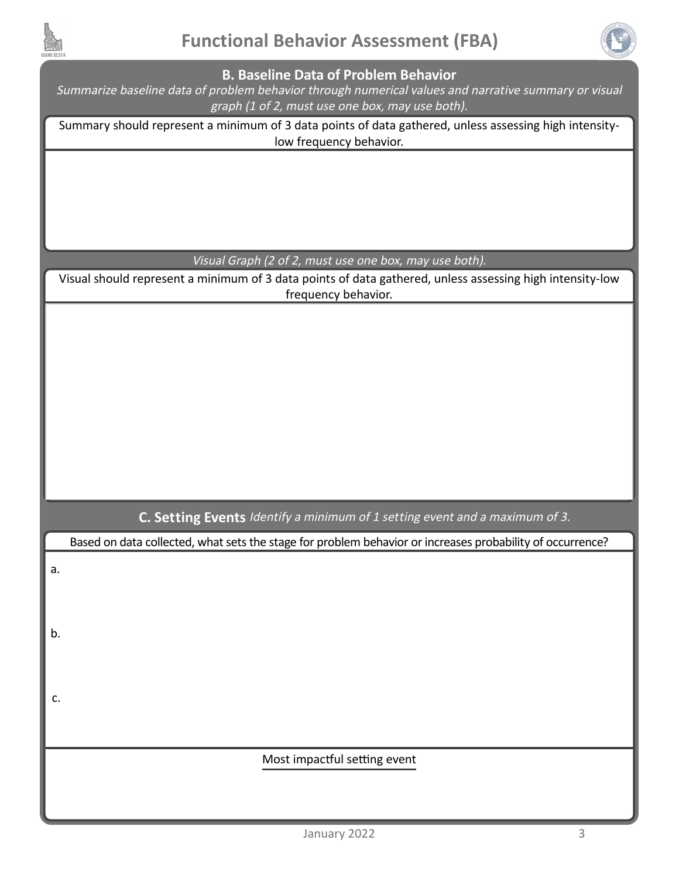



#### **B. Baseline Data of Problem Behavior**

Summarize baseline data of problem behavior through numerical values and narrative summary or visual graph (1 of 2, must use one box, may use both).

Summary should represent a minimum of 3 data points of data gathered, unless assessing high intensitylow frequency behavior.

Visual Graph (2 of 2, must use one box, may use both).

Visual should represent a minimum of 3 data points of data gathered, unless assessing high intensity-low frequency behavior.

**C. Setting Events** Identify a minimum of 1 setting event and a maximum of 3.

Based on data collected, what sets the stage for problem behavior or increases probability of occurrence?

a.

b.

c.

Most impactful setting event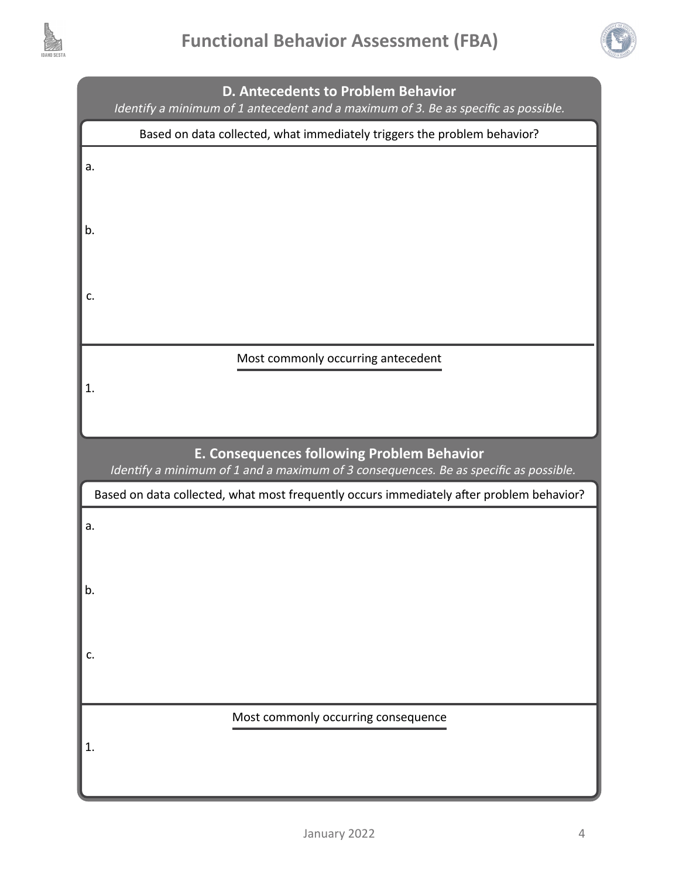



|                                                                                                                                    | D. Antecedents to Problem Behavior<br>Identify a minimum of 1 antecedent and a maximum of 3. Be as specific as possible. |  |
|------------------------------------------------------------------------------------------------------------------------------------|--------------------------------------------------------------------------------------------------------------------------|--|
|                                                                                                                                    | Based on data collected, what immediately triggers the problem behavior?                                                 |  |
| a.                                                                                                                                 |                                                                                                                          |  |
| b.                                                                                                                                 |                                                                                                                          |  |
| c.                                                                                                                                 |                                                                                                                          |  |
|                                                                                                                                    | Most commonly occurring antecedent                                                                                       |  |
| 1.                                                                                                                                 |                                                                                                                          |  |
| E. Consequences following Problem Behavior<br>Identify a minimum of 1 and a maximum of 3 consequences. Be as specific as possible. |                                                                                                                          |  |
|                                                                                                                                    |                                                                                                                          |  |
|                                                                                                                                    | Based on data collected, what most frequently occurs immediately after problem behavior?                                 |  |
| a.                                                                                                                                 |                                                                                                                          |  |
| b.                                                                                                                                 |                                                                                                                          |  |
| c.                                                                                                                                 |                                                                                                                          |  |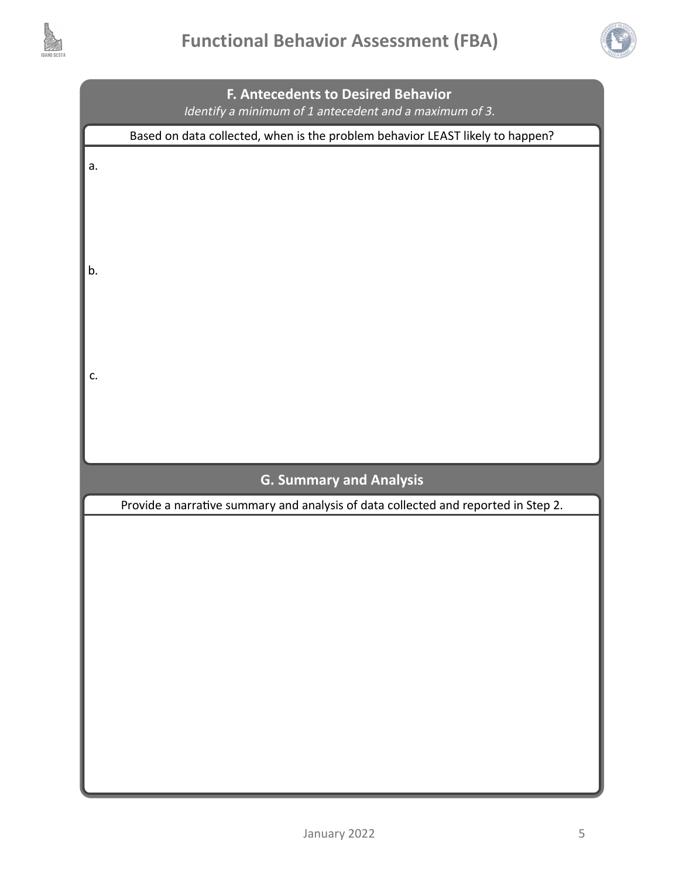



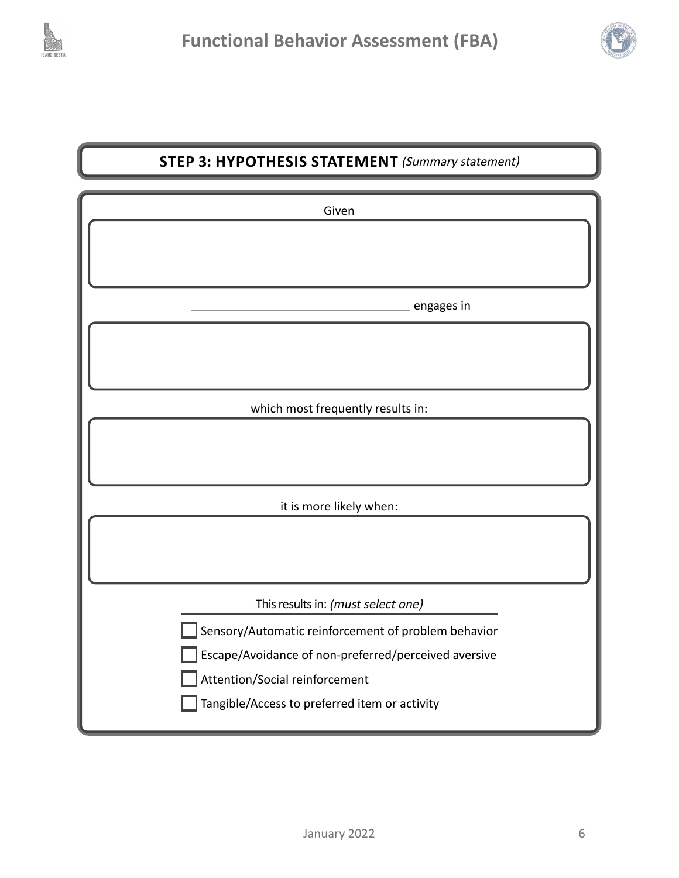



## **STEP 3: HYPOTHESIS STATEMENT** (Summary statement)

| Given                                                                                                                                                                                          |  |  |
|------------------------------------------------------------------------------------------------------------------------------------------------------------------------------------------------|--|--|
|                                                                                                                                                                                                |  |  |
| engages in                                                                                                                                                                                     |  |  |
|                                                                                                                                                                                                |  |  |
| which most frequently results in:                                                                                                                                                              |  |  |
|                                                                                                                                                                                                |  |  |
| it is more likely when:                                                                                                                                                                        |  |  |
|                                                                                                                                                                                                |  |  |
| This results in: (must select one)                                                                                                                                                             |  |  |
| Sensory/Automatic reinforcement of problem behavior<br>Escape/Avoidance of non-preferred/perceived aversive<br>Attention/Social reinforcement<br>Tangible/Access to preferred item or activity |  |  |